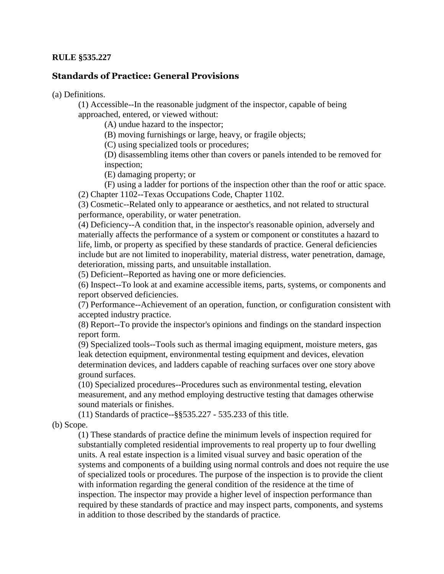## **RULE §535.227**

## **Standards of Practice: General Provisions**

(a) Definitions.

(1) Accessible--In the reasonable judgment of the inspector, capable of being approached, entered, or viewed without:

(A) undue hazard to the inspector;

(B) moving furnishings or large, heavy, or fragile objects;

(C) using specialized tools or procedures;

(D) disassembling items other than covers or panels intended to be removed for inspection;

(E) damaging property; or

(F) using a ladder for portions of the inspection other than the roof or attic space. (2) Chapter 1102--Texas Occupations Code, Chapter 1102.

(3) Cosmetic--Related only to appearance or aesthetics, and not related to structural performance, operability, or water penetration.

(4) Deficiency--A condition that, in the inspector's reasonable opinion, adversely and materially affects the performance of a system or component or constitutes a hazard to life, limb, or property as specified by these standards of practice. General deficiencies include but are not limited to inoperability, material distress, water penetration, damage, deterioration, missing parts, and unsuitable installation.

(5) Deficient--Reported as having one or more deficiencies.

(6) Inspect--To look at and examine accessible items, parts, systems, or components and report observed deficiencies.

(7) Performance--Achievement of an operation, function, or configuration consistent with accepted industry practice.

(8) Report--To provide the inspector's opinions and findings on the standard inspection report form.

(9) Specialized tools--Tools such as thermal imaging equipment, moisture meters, gas leak detection equipment, environmental testing equipment and devices, elevation determination devices, and ladders capable of reaching surfaces over one story above ground surfaces.

(10) Specialized procedures--Procedures such as environmental testing, elevation measurement, and any method employing destructive testing that damages otherwise sound materials or finishes.

(11) Standards of practice--§§535.227 - 535.233 of this title.

(b) Scope.

(1) These standards of practice define the minimum levels of inspection required for substantially completed residential improvements to real property up to four dwelling units. A real estate inspection is a limited visual survey and basic operation of the systems and components of a building using normal controls and does not require the use of specialized tools or procedures. The purpose of the inspection is to provide the client with information regarding the general condition of the residence at the time of inspection. The inspector may provide a higher level of inspection performance than required by these standards of practice and may inspect parts, components, and systems in addition to those described by the standards of practice.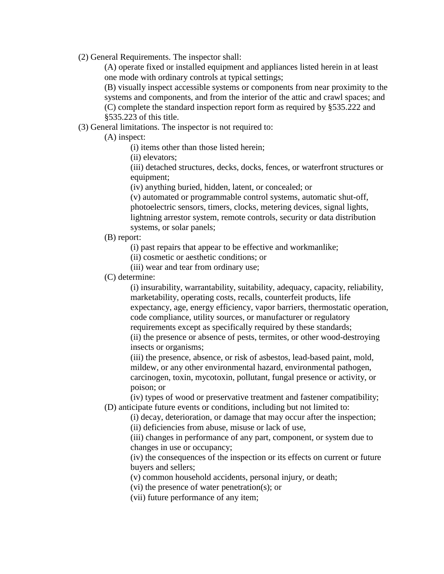(2) General Requirements. The inspector shall:

(A) operate fixed or installed equipment and appliances listed herein in at least one mode with ordinary controls at typical settings;

(B) visually inspect accessible systems or components from near proximity to the systems and components, and from the interior of the attic and crawl spaces; and (C) complete the standard inspection report form as required by §535.222 and §535.223 of this title.

(3) General limitations. The inspector is not required to:

(A) inspect:

(i) items other than those listed herein;

(ii) elevators;

(iii) detached structures, decks, docks, fences, or waterfront structures or equipment;

(iv) anything buried, hidden, latent, or concealed; or

(v) automated or programmable control systems, automatic shut-off, photoelectric sensors, timers, clocks, metering devices, signal lights, lightning arrestor system, remote controls, security or data distribution systems, or solar panels;

(B) report:

(i) past repairs that appear to be effective and workmanlike;

(ii) cosmetic or aesthetic conditions; or

(iii) wear and tear from ordinary use;

## (C) determine:

(i) insurability, warrantability, suitability, adequacy, capacity, reliability, marketability, operating costs, recalls, counterfeit products, life expectancy, age, energy efficiency, vapor barriers, thermostatic operation, code compliance, utility sources, or manufacturer or regulatory requirements except as specifically required by these standards; (ii) the presence or absence of pests, termites, or other wood-destroying

insects or organisms;

(iii) the presence, absence, or risk of asbestos, lead-based paint, mold, mildew, or any other environmental hazard, environmental pathogen, carcinogen, toxin, mycotoxin, pollutant, fungal presence or activity, or poison; or

(iv) types of wood or preservative treatment and fastener compatibility; (D) anticipate future events or conditions, including but not limited to:

(i) decay, deterioration, or damage that may occur after the inspection; (ii) deficiencies from abuse, misuse or lack of use,

(iii) changes in performance of any part, component, or system due to changes in use or occupancy;

(iv) the consequences of the inspection or its effects on current or future buyers and sellers;

(v) common household accidents, personal injury, or death;

(vi) the presence of water penetration(s); or

(vii) future performance of any item;